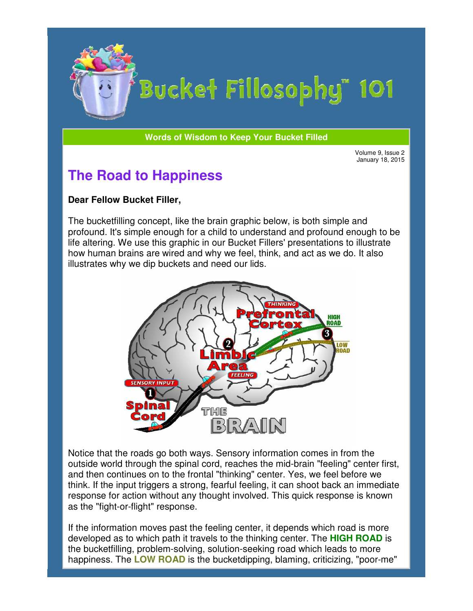

# Bucket Fillosophy" 101

**Words of Wisdom to Keep Your Bucket Filled Wisdom** 

Volume 9, Issue 2 January 18, 2015

# **The Road to Happiness**

#### **Dear Fellow Bucket Filler Filler,**

The bucketfilling concept, like the brain graphic below, is both simple and profound. It's simple enough for a child to understand and profound enough to be life altering. We use this graphic in our Bucket Fillers' presentations to illustrate how human brains are wired and why we feel, think, and act as we do. It also illustrates why we dip buckets and need our lids.



Notice that the roads go both ways. Sensory information comes in from the outside world through the spinal cord, reaches the mid-brain "feeling" center first, and then continues on to the frontal "thinking" center. Yes, we feel before we think. If the input triggers a strong, fearful feeling, it can shoot back an immediate response for action without any thought involved. This quick response is known as the "fight-or-flight" response. ory information comes in from the<br>iches the mid-brain "feeling" center firs<br>king" center. Yes, we feel before we<br>feeling, it can shoot back an immediat<br>ivolved. This quick response is known<br>center, it depends which road is

If the information moves past the feeling center, it depends which road is more If the information moves past the feeling center, it depends which road is mor<br>developed as to which path it travels to the thinking center. The **HIGH ROAD** the bucketfilling, problem-solving, solution-seeking road which leads to more happiness. The LOW ROAD is the bucketdipping, blaming, criticizing, "poor-me"